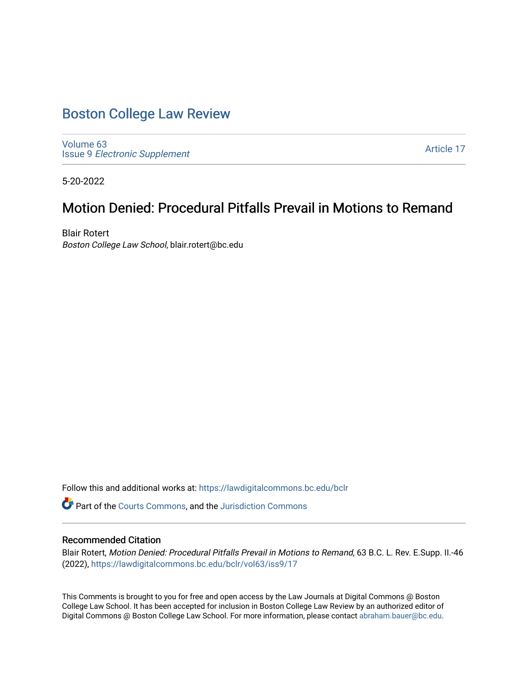# [Boston College Law Review](https://lawdigitalcommons.bc.edu/bclr)

[Volume 63](https://lawdigitalcommons.bc.edu/bclr/vol63) Issue 9 [Electronic Supplement](https://lawdigitalcommons.bc.edu/bclr/vol63/iss9) 

[Article 17](https://lawdigitalcommons.bc.edu/bclr/vol63/iss9/17) 

5-20-2022

# Motion Denied: Procedural Pitfalls Prevail in Motions to Remand

Blair Rotert Boston College Law School, blair.rotert@bc.edu

Follow this and additional works at: [https://lawdigitalcommons.bc.edu/bclr](https://lawdigitalcommons.bc.edu/bclr?utm_source=lawdigitalcommons.bc.edu%2Fbclr%2Fvol63%2Fiss9%2F17&utm_medium=PDF&utm_campaign=PDFCoverPages) 

Part of the [Courts Commons,](https://network.bepress.com/hgg/discipline/839?utm_source=lawdigitalcommons.bc.edu%2Fbclr%2Fvol63%2Fiss9%2F17&utm_medium=PDF&utm_campaign=PDFCoverPages) and the [Jurisdiction Commons](https://network.bepress.com/hgg/discipline/850?utm_source=lawdigitalcommons.bc.edu%2Fbclr%2Fvol63%2Fiss9%2F17&utm_medium=PDF&utm_campaign=PDFCoverPages)

# Recommended Citation

Blair Rotert, Motion Denied: Procedural Pitfalls Prevail in Motions to Remand, 63 B.C. L. Rev. E.Supp. II.-46 (2022), [https://lawdigitalcommons.bc.edu/bclr/vol63/iss9/17](https://lawdigitalcommons.bc.edu/bclr/vol63/iss9/17?utm_source=lawdigitalcommons.bc.edu%2Fbclr%2Fvol63%2Fiss9%2F17&utm_medium=PDF&utm_campaign=PDFCoverPages) 

This Comments is brought to you for free and open access by the Law Journals at Digital Commons @ Boston College Law School. It has been accepted for inclusion in Boston College Law Review by an authorized editor of Digital Commons @ Boston College Law School. For more information, please contact [abraham.bauer@bc.edu](mailto:abraham.bauer@bc.edu).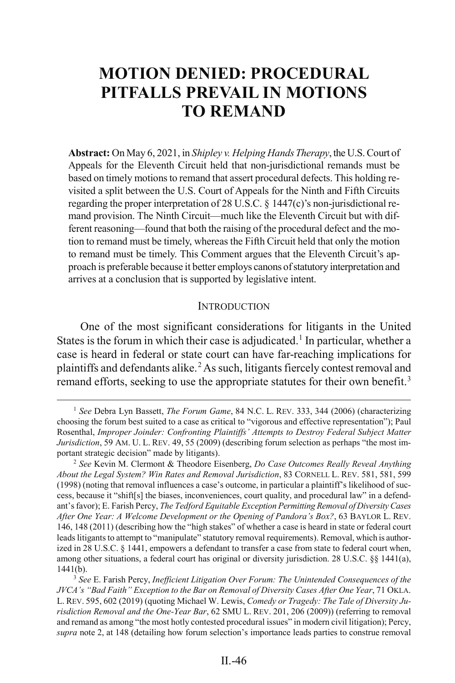# **MOTION DENIED: PROCEDURAL PITFALLS PREVAIL IN MOTIONS TO REMAND**

**Abstract:** On May 6, 2021, in *Shipley v. Helping Hands Therapy*, the U.S. Court of Appeals for the Eleventh Circuit held that non-jurisdictional remands must be based on timely motions to remand that assert procedural defects. This holding revisited a split between the U.S. Court of Appeals for the Ninth and Fifth Circuits regarding the proper interpretation of 28 U.S.C. § 1447(c)'s non-jurisdictional remand provision. The Ninth Circuit—much like the Eleventh Circuit but with different reasoning—found that both the raising of the procedural defect and the motion to remand must be timely, whereas the Fifth Circuit held that only the motion to remand must be timely. This Comment argues that the Eleventh Circuit's approach is preferable because it better employs canons of statutory interpretation and arrives at a conclusion that is supported by legislative intent.

### <span id="page-1-0"></span>**INTRODUCTION**

One of the most significant considerations for litigants in the United States is the forum in which their case is adjudicated.<sup>[1](#page-1-1)</sup> In particular, whether a case is heard in federal or state court can have far-reaching implications for plaintiffs and defendants alike.[2](#page-1-2)As such, litigants fiercely contest removal and remand efforts, seeking to use the appropriate statutes for their own benefit.<sup>[3](#page-1-3)</sup>

<span id="page-1-1"></span><sup>&</sup>lt;sup>1</sup> See Debra Lyn Bassett, *The Forum Game*, 84 N.C. L. REV. 333, 344 (2006) (characterizing choosing the forum best suited to a case as critical to "vigorous and effective representation"); Paul Rosenthal, *Improper Joinder: Confronting Plaintiffs' Attempts to Destroy Federal Subject Matter Jurisdiction*, 59 AM. U. L. REV. 49, 55 (2009) (describing forum selection as perhaps "the most important strategic decision" made by litigants).

<span id="page-1-2"></span><sup>2</sup> *See* Kevin M. Clermont & Theodore Eisenberg, *Do Case Outcomes Really Reveal Anything About the Legal System? Win Rates and Removal Jurisdiction*, 83 CORNELL L. REV. 581, 581, 599 (1998) (noting that removal influences a case's outcome, in particular a plaintiff's likelihood of success, because it "shift[s] the biases, inconveniences, court quality, and procedural law" in a defendant's favor); E. Farish Percy, *The Tedford Equitable Exception Permitting Removal of Diversity Cases After One Year: A Welcome Development or the Opening of Pandora's Box?*, 63 BAYLOR L. REV. 146, 148 (2011) (describing how the "high stakes" of whether a case is heard in state or federal court leads litigants to attempt to "manipulate" statutory removal requirements). Removal, which is authorized in 28 U.S.C. § 1441, empowers a defendant to transfer a case from state to federal court when, among other situations, a federal court has original or diversity jurisdiction. 28 U.S.C. §§ 1441(a), 1441(b).

<span id="page-1-3"></span><sup>3</sup> *See* E. Farish Percy, *Inefficient Litigation Over Forum: The Unintended Consequences of the JVCA's "Bad Faith" Exception to the Bar on Removal of Diversity Cases After One Year*, 71 OKLA. L. REV. 595, 602 (2019) (quoting Michael W. Lewis, *Comedy or Tragedy: The Tale of Diversity Jurisdiction Removal and the One-Year Bar*, 62 SMU L. REV. 201, 206 (2009)) (referring to removal and remand as among "the most hotly contested procedural issues" in modern civil litigation); Percy, *supra* not[e 2,](#page-1-0) at 148 (detailing how forum selection's importance leads parties to construe removal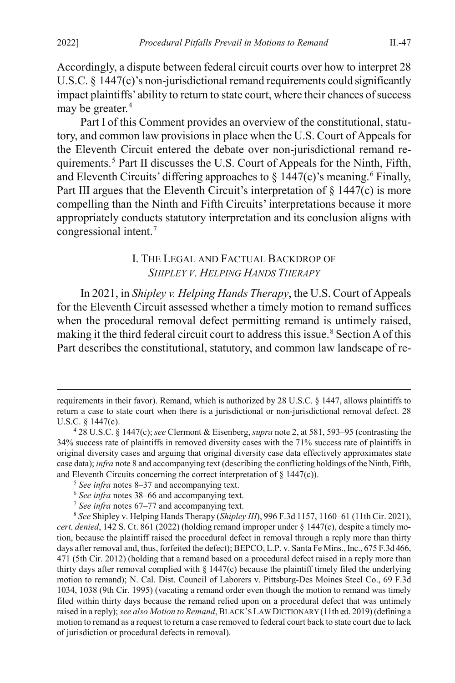Accordingly, a dispute between federal circuit courts over how to interpret 28 U.S.C. § 1447(c)'s non-jurisdictional remand requirements could significantly impact plaintiffs' ability to return to state court, where their chances of success may be greater.<sup>[4](#page-2-1)</sup>

Part I of this Comment provides an overview of the constitutional, statutory, and common law provisions in place when the U.S. Court of Appeals for the Eleventh Circuit entered the debate over non-jurisdictional remand requirements.[5](#page-2-2) Part II discusses the U.S. Court of Appeals for the Ninth, Fifth, and Eleventh Circuits' differing approaches to  $\S$  1447(c)'s meaning.<sup>[6](#page-2-3)</sup> Finally, Part III argues that the Eleventh Circuit's interpretation of  $\S$  1447(c) is more compelling than the Ninth and Fifth Circuits' interpretations because it more appropriately conducts statutory interpretation and its conclusion aligns with congressional intent.[7](#page-2-4)

## <span id="page-2-0"></span>I. THE LEGAL AND FACTUAL BACKDROP OF *SHIPLEY V. HELPING HANDS THERAPY*

In 2021, in *Shipley v. Helping Hands Therapy*, the U.S. Court of Appeals for the Eleventh Circuit assessed whether a timely motion to remand suffices when the procedural removal defect permitting remand is untimely raised, making it the third federal circuit court to address this issue.<sup>[8](#page-2-5)</sup> Section A of this Part describes the constitutional, statutory, and common law landscape of re-

requirements in their favor). Remand, which is authorized by 28 U.S.C. § 1447, allows plaintiffs to return a case to state court when there is a jurisdictional or non-jurisdictional removal defect. 28 U.S.C. § 1447(c).

<span id="page-2-1"></span><sup>4</sup> 28 U.S.C. § 1447(c); *see* Clermont & Eisenberg, *supra* not[e 2,](#page-1-0) at 581, 593–95 (contrasting the 34% success rate of plaintiffs in removed diversity cases with the 71% success rate of plaintiffs in original diversity cases and arguing that original diversity case data effectively approximates state case data); *infra* not[e 8](#page-2-0) and accompanying text (describing the conflicting holdings of the Ninth, Fifth, and Eleventh Circuits concerning the correct interpretation of  $\S$  1447(c)).

<sup>5</sup> *See infra* note[s 8–](#page-2-0)[37](#page-8-0) and accompanying text.

<sup>6</sup> *See infra* note[s 38](#page-8-1)[–66](#page-12-0) and accompanying text.

<sup>7</sup> *See infra* notes [67](#page-12-1)[–77](#page-15-0) and accompanying text.

<span id="page-2-5"></span><span id="page-2-4"></span><span id="page-2-3"></span><span id="page-2-2"></span><sup>8</sup> *See* Shipley v. Helping Hands Therapy (*Shipley III*), 996 F.3d 1157, 1160–61 (11th Cir. 2021), *cert. denied*, 142 S. Ct. 861 (2022) (holding remand improper under § 1447(c), despite a timely motion, because the plaintiff raised the procedural defect in removal through a reply more than thirty days after removal and, thus, forfeited the defect); BEPCO, L.P. v. Santa Fe Mins., Inc., 675 F.3d 466, 471 (5th Cir. 2012) (holding that a remand based on a procedural defect raised in a reply more than thirty days after removal complied with  $\S$  1447(c) because the plaintiff timely filed the underlying motion to remand); N. Cal. Dist. Council of Laborers v. Pittsburg-Des Moines Steel Co., 69 F.3d 1034, 1038 (9th Cir. 1995) (vacating a remand order even though the motion to remand was timely filed within thirty days because the remand relied upon on a procedural defect that was untimely raised in a reply); *see also Motion to Remand*, BLACK'S LAW DICTIONARY (11th ed. 2019) (defining a motion to remand as a request to return a case removed to federal court back to state court due to lack of jurisdiction or procedural defects in removal)*.*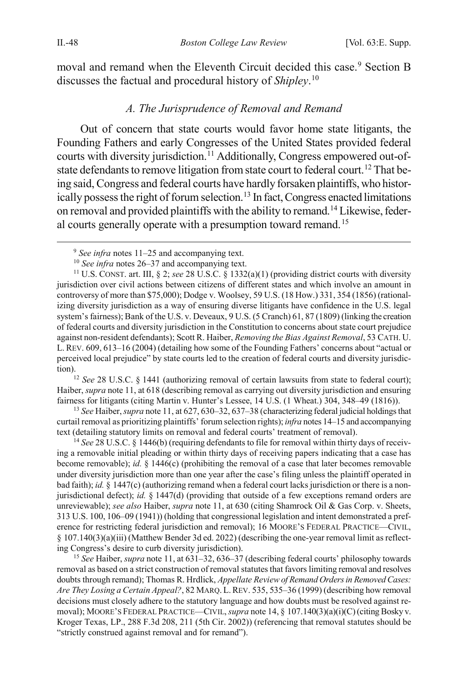moval and remand when the Eleventh Circuit decided this case.<sup>[9](#page-3-3)</sup> Section B discusses the factual and procedural history of *Shipley*. [10](#page-3-4)

## <span id="page-3-2"></span><span id="page-3-1"></span><span id="page-3-0"></span>*A. The Jurisprudence of Removal and Remand*

Out of concern that state courts would favor home state litigants, the Founding Fathers and early Congresses of the United States provided federal courts with diversity jurisdiction.<sup>[11](#page-3-5)</sup> Additionally, Congress empowered out-of-state defendants to remove litigation from state court to federal court.<sup>[12](#page-3-6)</sup> That being said, Congress and federal courts have hardly forsaken plaintiffs, who histor-ically possess the right of forum selection.<sup>[13](#page-3-7)</sup> In fact, Congress enacted limitations on removal and provided plaintiffs with the ability to remand[.14](#page-3-8) Likewise, feder-al courts generally operate with a presumption toward remand.<sup>[15](#page-3-9)</sup>

<span id="page-3-6"></span>Haiber, *supra* not[e 11,](#page-3-0) at 618 (describing removal as carrying out diversity jurisdiction and ensuring fairness for litigants (citing Martin v. Hunter's Lessee, 14 U.S. (1 Wheat.) 304, 348–49 (1816)).

<span id="page-3-7"></span><sup>13</sup> *See* Haiber, *supra* not[e 11,](#page-3-0) at 627, 630–32, 637–38 (characterizing federal judicial holdings that curtail removal as prioritizing plaintiffs' forum selection rights); *infra* note[s 14](#page-3-1)[–15](#page-3-2) and accompanying text (detailing statutory limits on removal and federal courts' treatment of removal).

<span id="page-3-8"></span><sup>14</sup> *See* 28 U.S.C. § 1446(b) (requiring defendants to file for removal within thirty days of receiving a removable initial pleading or within thirty days of receiving papers indicating that a case has become removable); *id.* § 1446(c) (prohibiting the removal of a case that later becomes removable under diversity jurisdiction more than one year after the case's filing unless the plaintiff operated in bad faith); *id.* § 1447(c) (authorizing remand when a federal court lacks jurisdiction or there is a nonjurisdictional defect); *id.* § 1447(d) (providing that outside of a few exceptions remand orders are unreviewable); *see also* Haiber, *supra* not[e 11,](#page-3-0) at 630 (citing Shamrock Oil & Gas Corp. v. Sheets, 313 U.S. 100, 106–09 (1941)) (holding that congressional legislation and intent demonstrated a preference for restricting federal jurisdiction and removal); 16 MOORE'S FEDERAL PRACTICE—CIVIL, § 107.140(3)(a)(iii) (Matthew Bender 3d ed. 2022) (describing the one-year removal limit as reflecting Congress's desire to curb diversity jurisdiction).

<span id="page-3-9"></span><sup>15</sup> *See* Haiber, *supra* not[e 11,](#page-3-0) at 631–32, 636–37 (describing federal courts' philosophy towards removal as based on a strict construction of removal statutes that favors limiting removal and resolves doubts through remand); Thomas R. Hrdlick, *Appellate Review of Remand Orders in Removed Cases: Are They Losing a Certain Appeal?*, 82 MARQ. L.REV. 535, 535–36 (1999) (describing how removal decisions must closely adhere to the statutory language and how doubts must be resolved against removal); MOORE'S FEDERAL PRACTICE—CIVIL, *supra* not[e 14,](#page-3-1) § 107.140(3)(a)(i)(C) (citing Bosky v. Kroger Texas, LP., 288 F.3d 208, 211 (5th Cir. 2002)) (referencing that removal statutes should be "strictly construed against removal and for remand").

 <sup>9</sup> *See infra* note[s 11](#page-3-0)[–25](#page-5-0) and accompanying text.

<sup>10</sup> *See infra* note[s 26–](#page-6-0)[37](#page-8-0) and accompanying text.

<span id="page-3-5"></span><span id="page-3-4"></span><span id="page-3-3"></span><sup>11</sup> U.S. CONST. art. III, § 2; *see* 28 U.S.C. § 1332(a)(1) (providing district courts with diversity jurisdiction over civil actions between citizens of different states and which involve an amount in controversy of more than \$75,000); Dodge v. Woolsey, 59 U.S. (18 How.) 331, 354 (1856) (rationalizing diversity jurisdiction as a way of ensuring diverse litigants have confidence in the U.S. legal system's fairness); Bank of the U.S. v. Deveaux, 9 U.S. (5 Cranch) 61, 87 (1809) (linking the creation of federal courts and diversity jurisdiction in the Constitution to concerns about state court prejudice against non-resident defendants); Scott R. Haiber, *Removing the Bias Against Removal*, 53 CATH. U. L. REV. 609, 613–16 (2004) (detailing how some of the Founding Fathers' concerns about "actual or perceived local prejudice" by state courts led to the creation of federal courts and diversity jurisdiction).<br><sup>12</sup> *See* 28 U.S.C. § 1441 (authorizing removal of certain lawsuits from state to federal court);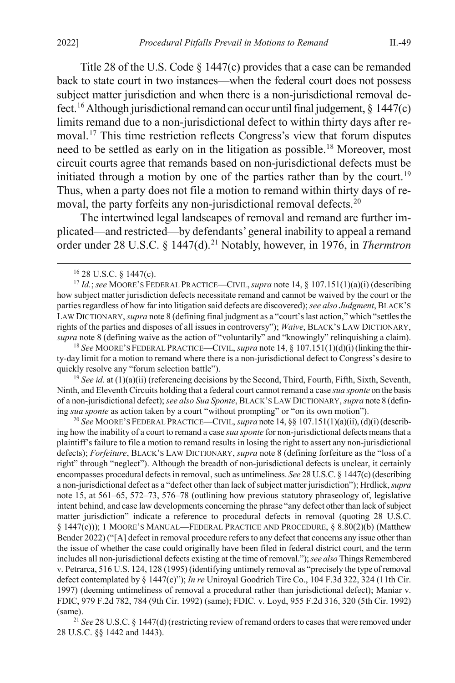<span id="page-4-6"></span>Title 28 of the U.S. Code § 1447(c) provides that a case can be remanded back to state court in two instances—when the federal court does not possess subject matter jurisdiction and when there is a non-jurisdictional removal de-fect.<sup>[16](#page-4-0)</sup> Although jurisdictional remand can occur until final judgement,  $\S$  1447(c) limits remand due to a non-jurisdictional defect to within thirty days after removal.[17](#page-4-1) This time restriction reflects Congress's view that forum disputes need to be settled as early on in the litigation as possible.[18](#page-4-2) Moreover, most circuit courts agree that remands based on non-jurisdictional defects must be initiated through a motion by one of the parties rather than by the court.<sup>[19](#page-4-3)</sup> Thus, when a party does not file a motion to remand within thirty days of re-moval, the party forfeits any non-jurisdictional removal defects.<sup>[20](#page-4-4)</sup>

The intertwined legal landscapes of removal and remand are further implicated—and restricted—by defendants' general inability to appeal a remand order under 28 U.S.C. § 1447(d).<sup>[21](#page-4-5)</sup> Notably, however, in 1976, in *Thermtron* 

<span id="page-4-2"></span><sup>18</sup> *See* MOORE'S FEDERAL PRACTICE—CIVIL, *supra* not[e 14,](#page-3-1) § 107.151(1)(d)(i) (linking the thirty-day limit for a motion to remand where there is a non-jurisdictional defect to Congress's desire to quickly resolve any "forum selection battle").

<span id="page-4-3"></span><sup>19</sup> See id. at (1)(a)(ii) (referencing decisions by the Second, Third, Fourth, Fifth, Sixth, Seventh, Ninth, and Eleventh Circuits holding that a federal court cannot remand a case *sua sponte* on the basis of a non-jurisdictional defect); *see also Sua Sponte*, BLACK'S LAW DICTIONARY, *supra* not[e 8](#page-2-0) (defining *sua sponte* as action taken by a court "without prompting" or "on its own motion").

<span id="page-4-4"></span><sup>20</sup> *See* MOORE'S FEDERAL PRACTICE—CIVIL, *supra* not[e 14,](#page-3-1) §§ 107.151(1)(a)(ii), (d)(i) (describing how the inability of a court to remand a case *sua sponte* for non-jurisdictional defects means that a plaintiff's failure to file a motion to remand results in losing the right to assert any non-jurisdictional defects); *Forfeiture*, BLACK'S LAW DICTIONARY, *supra* not[e 8](#page-2-0) (defining forfeiture as the "loss of a right" through "neglect"). Although the breadth of non-jurisdictional defects is unclear, it certainly encompasses procedural defects in removal, such as untimeliness. *See* 28 U.S.C. § 1447(c) (describing a non-jurisdictional defect as a "defect other than lack of subject matter jurisdiction"); Hrdlick, *supra* note [15,](#page-3-2) at 561–65, 572–73, 576–78 (outlining how previous statutory phraseology of, legislative intent behind, and case law developments concerning the phrase "any defect other than lack of subject matter jurisdiction" indicate a reference to procedural defects in removal (quoting 28 U.S.C. § 1447(c))); 1 MOORE'S MANUAL—FEDERAL PRACTICE AND PROCEDURE, § 8.80(2)(b) (Matthew Bender 2022) ("[A] defect in removal procedure refers to any defect that concerns any issue other than the issue of whether the case could originally have been filed in federal district court, and the term includes all non-jurisdictional defects existing at the time of removal."); *see also* Things Remembered v. Petrarca, 516 U.S. 124, 128 (1995) (identifying untimely removal as "precisely the type of removal defect contemplated by § 1447(c)"); *In re* Uniroyal Goodrich Tire Co., 104 F.3d 322, 324 (11th Cir. 1997) (deeming untimeliness of removal a procedural rather than jurisdictional defect); Maniar v. FDIC, 979 F.2d 782, 784 (9th Cir. 1992) (same); FDIC. v. Loyd, 955 F.2d 316, 320 (5th Cir. 1992) (same).

<span id="page-4-5"></span><sup>21</sup> *See* 28 U.S.C. § 1447(d) (restricting review of remand orders to cases that were removed under 28 U.S.C. §§ 1442 and 1443).

<span id="page-4-7"></span> <sup>16</sup> 28 U.S.C. § 1447(c).

<span id="page-4-1"></span><span id="page-4-0"></span><sup>17</sup> *Id.*; *see* MOORE'S FEDERAL PRACTICE—CIVIL,*supra* not[e 14,](#page-3-1) § 107.151(1)(a)(i) (describing how subject matter jurisdiction defects necessitate remand and cannot be waived by the court or the parties regardless of how far into litigation said defects are discovered); *see also Judgment*, BLACK'S LAW DICTIONARY, *supra* not[e 8](#page-2-0) (defining final judgment as a "court's last action," which "settles the rights of the parties and disposes of all issues in controversy"); *Waive*, BLACK'S LAW DICTIONARY, *supra* not[e 8](#page-2-0) (defining waive as the action of "voluntarily" and "knowingly" relinquishing a claim).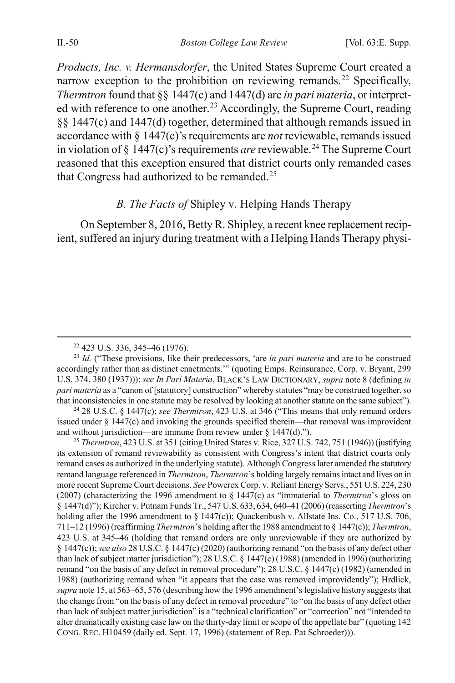*Products, Inc. v. Hermansdorfer*, the United States Supreme Court created a narrow exception to the prohibition on reviewing remands.<sup>[22](#page-5-1)</sup> Specifically, *Thermtron* found that §§ 1447(c) and 1447(d) are *in pari materia*, or interpret-ed with reference to one another.<sup>[23](#page-5-2)</sup> Accordingly, the Supreme Court, reading §§ 1447(c) and 1447(d) together, determined that although remands issued in accordance with § 1447(c)'s requirements are *not* reviewable, remands issued in violation of  $\S 1447(c)$ 's requirements *are* reviewable.<sup>[24](#page-5-3)</sup> The Supreme Court reasoned that this exception ensured that district courts only remanded cases that Congress had authorized to be remanded.[25](#page-5-4)

## <span id="page-5-0"></span>*B. The Facts of* Shipley v. Helping Hands Therapy

On September 8, 2016, Betty R. Shipley, a recent knee replacement recipient, suffered an injury during treatment with a Helping Hands Therapy physi-

<span id="page-5-3"></span><sup>24</sup> 28 U.S.C. § 1447(c); *see Thermtron*, 423 U.S. at 346 ("This means that only remand orders issued under  $\S$  1447(c) and invoking the grounds specified therein—that removal was improvident and without jurisdiction—are immune from review under  $\S$  1447(d).").

<span id="page-5-4"></span><sup>25</sup> *Thermtron*, 423 U.S. at 351 (citing United States v. Rice, 327 U.S. 742, 751 (1946)) (justifying its extension of remand reviewability as consistent with Congress's intent that district courts only remand cases as authorized in the underlying statute). Although Congress later amended the statutory remand language referenced in *Thermtron*, *Thermtron*'s holding largely remains intact and lives on in more recent Supreme Court decisions. *See* Powerex Corp. v. Reliant Energy Servs., 551 U.S. 224, 230 (2007) (characterizing the 1996 amendment to § 1447(c) as "immaterial to *Thermtron*'s gloss on § 1447(d)"); Kircher v. Putnam Funds Tr., 547 U.S. 633, 634, 640–41 (2006) (reasserting *Thermtron*'s holding after the 1996 amendment to § 1447(c)); Quackenbush v. Allstate Ins. Co., 517 U.S. 706, 711–12 (1996) (reaffirming *Thermtron*'s holding after the 1988 amendment to § 1447(c)); *Thermtron*, 423 U.S. at 345–46 (holding that remand orders are only unreviewable if they are authorized by § 1447(c)); *see also* 28 U.S.C. § 1447(c) (2020) (authorizing remand "on the basis of any defect other than lack of subject matter jurisdiction"); 28 U.S.C. § 1447(c) (1988) (amended in 1996) (authorizing remand "on the basis of any defect in removal procedure"); 28 U.S.C. § 1447(c) (1982) (amended in 1988) (authorizing remand when "it appears that the case was removed improvidently"); Hrdlick, *supra* not[e 15,](#page-3-2) at 563–65, 576 (describing how the 1996 amendment's legislative history suggests that the change from "on the basis of any defect in removal procedure" to "on the basis of any defect other than lack of subject matter jurisdiction" is a "technical clarification" or "correction" not "intended to alter dramatically existing case law on the thirty-day limit or scope of the appellate bar" (quoting 142 CONG. REC. H10459 (daily ed. Sept. 17, 1996) (statement of Rep. Pat Schroeder))).

 <sup>22</sup> 423 U.S. 336, 345–46 (1976).

<span id="page-5-2"></span><span id="page-5-1"></span><sup>23</sup> *Id.* ("These provisions, like their predecessors, 'are *in pari materia* and are to be construed accordingly rather than as distinct enactments.'" (quoting Emps. Reinsurance. Corp. v. Bryant, 299 U.S. 374, 380 (1937))); *see In Pari Materia*, BLACK'S LAW DICTIONARY, *supra* not[e 8](#page-2-0) (defining *in pari materia* as a "canon of [statutory] construction" whereby statutes "may be construed together, so that inconsistencies in one statute may be resolved by looking at another statute on the same subject").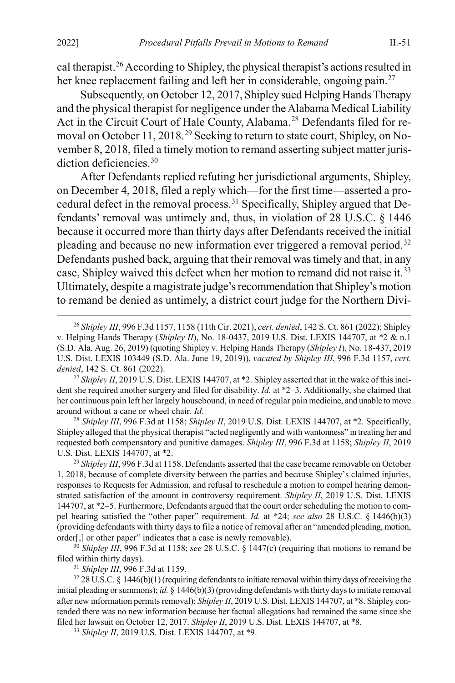2022] *Procedural Pitfalls Prevail in Motions to Remand* II.-51

<span id="page-6-0"></span>cal therapist.<sup>[26](#page-6-1)</sup> According to Shipley, the physical therapist's actions resulted in her knee replacement failing and left her in considerable, ongoing pain.<sup>27</sup>

Subsequently, on October 12, 2017, Shipley sued Helping Hands Therapy and the physical therapist for negligence under the Alabama Medical Liability Act in the Circuit Court of Hale County, Alabama.<sup>[28](#page-6-3)</sup> Defendants filed for re-moval on October 11, 2018.<sup>[29](#page-6-4)</sup> Seeking to return to state court, Shipley, on November 8, 2018, filed a timely motion to remand asserting subject matter juris-diction deficiencies.<sup>[30](#page-6-5)</sup>

After Defendants replied refuting her jurisdictional arguments, Shipley, on December 4, 2018, filed a reply which—for the first time—asserted a procedural defect in the removal process.[31](#page-6-6) Specifically, Shipley argued that Defendants' removal was untimely and, thus, in violation of 28 U.S.C. § 1446 because it occurred more than thirty days after Defendants received the initial pleading and because no new information ever triggered a removal period.<sup>[32](#page-6-7)</sup> Defendants pushed back, arguing that their removal was timely and that, in any case, Shipley waived this defect when her motion to remand did not raise it.<sup>[33](#page-6-8)</sup> Ultimately, despite a magistrate judge's recommendation that Shipley's motion to remand be denied as untimely, a district court judge for the Northern Divi-

<span id="page-6-2"></span>dent she required another surgery and filed for disability. *Id.* at \*2–3. Additionally, she claimed that her continuous pain left her largely housebound, in need of regular pain medicine, and unable to move around without a cane or wheel chair. *Id.*

<span id="page-6-3"></span><sup>28</sup> Shipley III, 996 F.3d at 1158; Shipley II, 2019 U.S. Dist. LEXIS 144707, at \*2. Specifically, Shipley alleged that the physical therapist "acted negligently and with wantonness" in treating her and requested both compensatory and punitive damages. *Shipley III*, 996 F.3d at 1158; *Shipley II*, 2019 U.S. Dist. LEXIS 144707, at \*2.

<span id="page-6-4"></span><sup>29</sup> Shipley III, 996 F.3d at 1158. Defendants asserted that the case became removable on October 1, 2018, because of complete diversity between the parties and because Shipley's claimed injuries, responses to Requests for Admission, and refusal to reschedule a motion to compel hearing demonstrated satisfaction of the amount in controversy requirement. *Shipley II*, 2019 U.S. Dist. LEXIS 144707, at \*2–5. Furthermore, Defendants argued that the court order scheduling the motion to compel hearing satisfied the "other paper" requirement. *Id.* at \*24; *see also* 28 U.S.C. § 1446(b)(3) (providing defendants with thirty days to file a notice of removal after an "amended pleading, motion, order[,] or other paper" indicates that a case is newly removable).

<span id="page-6-5"></span><sup>30</sup> *Shipley III*, 996 F.3d at 1158; *see* 28 U.S.C. § 1447(c) (requiring that motions to remand be filed within thirty days).

<sup>31</sup> *Shipley III*, 996 F.3d at 1159.

<span id="page-6-7"></span><span id="page-6-6"></span> $32$  28 U.S.C. § 1446(b)(1) (requiring defendants to initiate removal within thirty days of receiving the initial pleading or summons); *id.* § 1446(b)(3) (providing defendants with thirty days to initiate removal after new information permits removal); *Shipley II*, 2019 U.S. Dist. LEXIS 144707, at \*8. Shipley contended there was no new information because her factual allegations had remained the same since she filed her lawsuit on October 12, 2017. *Shipley II*, 2019 U.S. Dist. LEXIS 144707, at \*8.

<span id="page-6-8"></span><sup>33</sup> *Shipley II*, 2019 U.S. Dist. LEXIS 144707, at \*9.

<span id="page-6-1"></span> <sup>26</sup> *Shipley III*, 996 F.3d 1157, 1158 (11th Cir. 2021), *cert. denied*, 142 S. Ct. 861 (2022); Shipley v. Helping Hands Therapy (*Shipley II*), No. 18-0437, 2019 U.S. Dist. LEXIS 144707, at \*2 & n.1 (S.D. Ala. Aug. 26, 2019) (quoting Shipley v. Helping Hands Therapy (*Shipley I*), No. 18-437, 2019 U.S. Dist. LEXIS 103449 (S.D. Ala. June 19, 2019)), *vacated by Shipley III*, 996 F.3d 1157, *cert. denied*, 142 S. Ct. 861 (2022).<br><sup>27</sup> *Shipley II*, 2019 U.S. Dist. LEXIS 144707, at \*2. Shipley asserted that in the wake of this inci-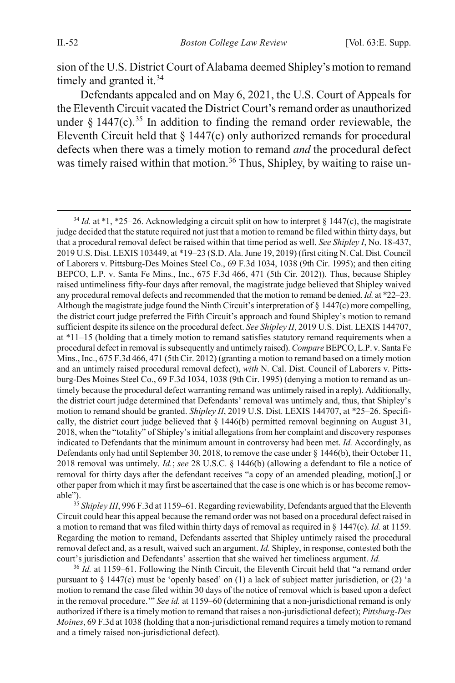sion of the U.S. District Court of Alabama deemed Shipley's motion to remand timely and granted it.<sup>[34](#page-7-0)</sup>

Defendants appealed and on May 6, 2021, the U.S. Court of Appeals for the Eleventh Circuit vacated the District Court's remand order as unauthorized under  $\frac{6}{3}$  1447(c).<sup>[35](#page-7-1)</sup> In addition to finding the remand order reviewable, the Eleventh Circuit held that § 1447(c) only authorized remands for procedural defects when there was a timely motion to remand *and* the procedural defect was timely raised within that motion.<sup>[36](#page-7-2)</sup> Thus, Shipley, by waiting to raise un-

<span id="page-7-1"></span><sup>35</sup> Shipley III, 996 F.3d at 1159–61. Regarding reviewability, Defendants argued that the Eleventh Circuit could hear this appeal because the remand order was not based on a procedural defect raised in a motion to remand that was filed within thirty days of removal as required in § 1447(c). *Id.* at 1159. Regarding the motion to remand, Defendants asserted that Shipley untimely raised the procedural removal defect and, as a result, waived such an argument. *Id.* Shipley, in response, contested both the court's jurisdiction and Defendants' assertion that she waived her timeliness argument. *Id.*

<span id="page-7-2"></span><sup>36</sup> *Id.* at 1159–61. Following the Ninth Circuit, the Eleventh Circuit held that "a remand order pursuant to § 1447(c) must be 'openly based' on (1) a lack of subject matter jurisdiction, or (2) 'a motion to remand the case filed within 30 days of the notice of removal which is based upon a defect in the removal procedure.'" *See id.* at 1159–60 (determining that a non-jurisdictional remand is only authorized if there is a timely motion to remand that raises a non-jurisdictional defect); *Pittsburg-Des Moines*, 69 F.3d at 1038 (holding that a non-jurisdictional remand requires a timely motion to remand and a timely raised non-jurisdictional defect).

<span id="page-7-0"></span> $34$  *Id.* at \*1, \*25–26. Acknowledging a circuit split on how to interpret § 1447(c), the magistrate judge decided that the statute required not just that a motion to remand be filed within thirty days, but that a procedural removal defect be raised within that time period as well. *See Shipley I*, No. 18-437, 2019 U.S. Dist. LEXIS 103449, at \*19–23 (S.D. Ala. June 19, 2019) (first citing N. Cal. Dist. Council of Laborers v. Pittsburg-Des Moines Steel Co., 69 F.3d 1034, 1038 (9th Cir. 1995); and then citing BEPCO, L.P. v. Santa Fe Mins., Inc., 675 F.3d 466, 471 (5th Cir. 2012)). Thus, because Shipley raised untimeliness fifty-four days after removal, the magistrate judge believed that Shipley waived any procedural removal defects and recommended that the motion to remand be denied. *Id.* at \*22–23. Although the magistrate judge found the Ninth Circuit's interpretation of § 1447(c) more compelling, the district court judge preferred the Fifth Circuit's approach and found Shipley's motion to remand sufficient despite its silence on the procedural defect. *See Shipley II*, 2019 U.S. Dist. LEXIS 144707, at \*11–15 (holding that a timely motion to remand satisfies statutory remand requirements when a procedural defect in removal is subsequently and untimely raised). *Compare*BEPCO, L.P. v. Santa Fe Mins., Inc., 675 F.3d 466, 471 (5th Cir. 2012) (granting a motion to remand based on a timely motion and an untimely raised procedural removal defect), *with* N. Cal. Dist. Council of Laborers v. Pittsburg-Des Moines Steel Co., 69 F.3d 1034, 1038 (9th Cir. 1995) (denying a motion to remand as untimely because the procedural defect warranting remand was untimely raised in a reply). Additionally, the district court judge determined that Defendants' removal was untimely and, thus, that Shipley's motion to remand should be granted. *Shipley II*, 2019 U.S. Dist. LEXIS 144707, at \*25–26. Specifically, the district court judge believed that § 1446(b) permitted removal beginning on August 31, 2018, when the "totality" of Shipley's initial allegations from her complaint and discovery responses indicated to Defendants that the minimum amount in controversy had been met. *Id.* Accordingly, as Defendants only had until September 30, 2018, to remove the case under § 1446(b), their October 11, 2018 removal was untimely. *Id.*; *see* 28 U.S.C. § 1446(b) (allowing a defendant to file a notice of removal for thirty days after the defendant receives "a copy of an amended pleading, motion[,] or other paper from which it may first be ascertained that the case is one which is or has become removable").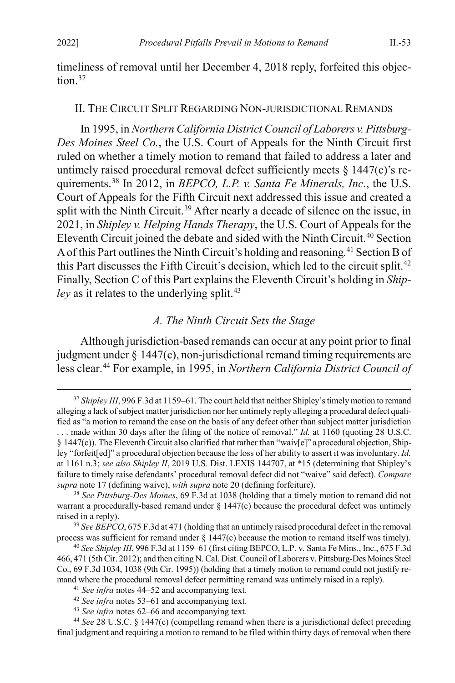<span id="page-8-0"></span>timeliness of removal until her December 4, 2018 reply, forfeited this objec $tion<sup>37</sup>$ 

### II. THE CIRCUIT SPLIT REGARDING NON-JURISDICTIONAL REMANDS

<span id="page-8-1"></span>In 1995, in *Northern California District Council of Laborers v. Pittsburg-Des Moines Steel Co.*, the U.S. Court of Appeals for the Ninth Circuit first ruled on whether a timely motion to remand that failed to address a later and untimely raised procedural removal defect sufficiently meets  $\S$  1447(c)'s requirements.[38](#page-8-4) In 2012, in *BEPCO, L.P. v. Santa Fe Minerals, Inc.*, the U.S. Court of Appeals for the Fifth Circuit next addressed this issue and created a split with the Ninth Circuit.<sup>[39](#page-8-5)</sup> After nearly a decade of silence on the issue, in 2021, in *Shipley v. Helping Hands Therapy*, the U.S. Court of Appeals for the Eleventh Circuit joined the debate and sided with the Ninth Circuit.[40](#page-8-6) Section A of this Part outlines the Ninth Circuit's holding and reasoning.[41](#page-8-7) Section B of this Part discusses the Fifth Circuit's decision, which led to the circuit split.[42](#page-8-8) Finally, Section C of this Part explains the Eleventh Circuit's holding in *Shipley* as it relates to the underlying split.<sup>[43](#page-8-9)</sup>

### *A. The Ninth Circuit Sets the Stage*

<span id="page-8-2"></span>Although jurisdiction-based remands can occur at any point prior to final judgment under § 1447(c), non-jurisdictional remand timing requirements are less clear. [44](#page-8-10) For example, in 1995, in *Northern California District Council of* 

<sup>43</sup> *See infra* note[s 62–](#page-11-1)[66](#page-12-0) and accompanying text.

<span id="page-8-3"></span> <sup>37</sup> *Shipley III*, 996 F.3d at 1159–61. The court held that neither Shipley's timely motion to remand alleging a lack of subject matter jurisdiction nor her untimely reply alleging a procedural defect qualified as "a motion to remand the case on the basis of any defect other than subject matter jurisdiction . . . made within 30 days after the filing of the notice of removal." *Id.* at 1160 (quoting 28 U.S.C.  $§$  1447(c)). The Eleventh Circuit also clarified that rather than "waiv[e]" a procedural objection, Shipley "forfeit[ed]" a procedural objection because the loss of her ability to assert it was involuntary. *Id.* at 1161 n.3; *see also Shipley II*, 2019 U.S. Dist. LEXIS 144707, at \*15 (determining that Shipley's failure to timely raise defendants' procedural removal defect did not "waive" said defect). *Compare supra* not[e 17](#page-4-6) (defining waive), *with supra* not[e 20](#page-4-7) (defining forfeiture).

<span id="page-8-4"></span><sup>38</sup> *See Pittsburg-Des Moines*, 69 F.3d at 1038 (holding that a timely motion to remand did not warrant a procedurally-based remand under  $\S 1447(c)$  because the procedural defect was untimely raised in a reply).

<span id="page-8-5"></span><sup>39</sup> *See BEPCO*, 675 F.3d at 471 (holding that an untimely raised procedural defect in the removal process was sufficient for remand under § 1447(c) because the motion to remand itself was timely).

<span id="page-8-6"></span><sup>40</sup> *See Shipley III*, 996 F.3d at 1159–61 (first citing BEPCO, L.P. v. Santa Fe Mins., Inc., 675 F.3d 466, 471 (5th Cir. 2012); and then citing N. Cal. Dist. Council of Laborers v. Pittsburg-Des Moines Steel Co., 69 F.3d 1034, 1038 (9th Cir. 1995)) (holding that a timely motion to remand could not justify remand where the procedural removal defect permitting remand was untimely raised in a reply).

<sup>41</sup> *See infra* note[s 44–](#page-8-2)[52](#page-10-0) and accompanying text.

<sup>42</sup> *See infra* note[s 53–](#page-10-1)[61](#page-11-0) and accompanying text.

<span id="page-8-10"></span><span id="page-8-9"></span><span id="page-8-8"></span><span id="page-8-7"></span><sup>44</sup> *See* 28 U.S.C. § 1447(c) (compelling remand when there is a jurisdictional defect preceding final judgment and requiring a motion to remand to be filed within thirty days of removal when there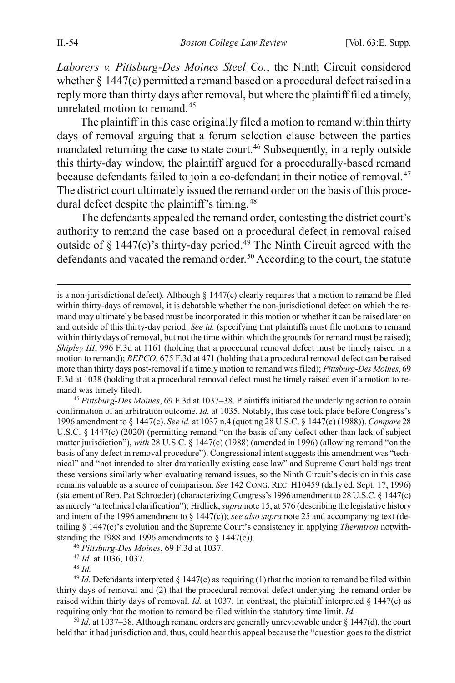*Laborers v. Pittsburg-Des Moines Steel Co.*, the Ninth Circuit considered whether  $\S 1447(c)$  permitted a remand based on a procedural defect raised in a reply more than thirty days after removal, but where the plaintiff filed a timely, unrelated motion to remand.<sup>[45](#page-9-0)</sup>

The plaintiff in this case originally filed a motion to remand within thirty days of removal arguing that a forum selection clause between the parties mandated returning the case to state court.<sup>46</sup> Subsequently, in a reply outside this thirty-day window, the plaintiff argued for a procedurally-based remand because defendants failed to join a co-defendant in their notice of removal.<sup>[47](#page-9-2)</sup> The district court ultimately issued the remand order on the basis of this proce-dural defect despite the plaintiff's timing.<sup>[48](#page-9-3)</sup>

The defendants appealed the remand order, contesting the district court's authority to remand the case based on a procedural defect in removal raised outside of  $\S$  1447(c)'s thirty-day period.<sup>[49](#page-9-4)</sup> The Ninth Circuit agreed with the defendants and vacated the remand order.<sup>50</sup> According to the court, the statute

<span id="page-9-0"></span><sup>45</sup> *Pittsburg-Des Moines*, 69 F.3d at 1037–38. Plaintiffs initiated the underlying action to obtain confirmation of an arbitration outcome. *Id.* at 1035. Notably, this case took place before Congress's 1996 amendment to § 1447(c). *See id.* at 1037 n.4 (quoting 28 U.S.C. § 1447(c) (1988)). *Compare* 28 U.S.C. § 1447(c) (2020) (permitting remand "on the basis of any defect other than lack of subject matter jurisdiction"), *with* 28 U.S.C. § 1447(c) (1988) (amended in 1996) (allowing remand "on the basis of any defect in removal procedure"). Congressional intent suggests this amendment was "technical" and "not intended to alter dramatically existing case law" and Supreme Court holdings treat these versions similarly when evaluating remand issues, so the Ninth Circuit's decision in this case remains valuable as a source of comparison. *See* 142 CONG. REC. H10459 (daily ed. Sept. 17, 1996) (statement of Rep. Pat Schroeder) (characterizing Congress's 1996 amendment to 28 U.S.C. § 1447(c) as merely "a technical clarification"); Hrdlick, *supra* not[e 15](#page-3-2), at 576 (describing the legislative history and intent of the 1996 amendment to  $\S$  1447(c)); *see also supra* not[e 25](#page-5-0) and accompanying text (detailing § 1447(c)'s evolution and the Supreme Court's consistency in applying *Thermtron* notwithstanding the 1988 and 1996 amendments to  $\S$  1447(c)).

<sup>46</sup> *Pittsburg-Des Moines*, 69 F.3d at 1037.

<sup>47</sup> *Id.* at 1036, 1037.

<sup>48</sup> *Id.*

<span id="page-9-4"></span><span id="page-9-3"></span><span id="page-9-2"></span><span id="page-9-1"></span><sup>49</sup> *Id.* Defendants interpreted  $\S$  1447(c) as requiring (1) that the motion to remand be filed within thirty days of removal and (2) that the procedural removal defect underlying the remand order be raised within thirty days of removal. *Id.* at 1037. In contrast, the plaintiff interpreted § 1447(c) as requiring only that the motion to remand be filed within the statutory time limit. *Id.*

<span id="page-9-5"></span> $50$  *Id.* at 1037–38. Although remand orders are generally unreviewable under § 1447(d), the court held that it had jurisdiction and, thus, could hear this appeal because the "question goes to the district

is a non-jurisdictional defect). Although  $\S 1447(c)$  clearly requires that a motion to remand be filed within thirty-days of removal, it is debatable whether the non-jurisdictional defect on which the remand may ultimately be based must be incorporated in this motion or whether it can be raised later on and outside of this thirty-day period. *See id.* (specifying that plaintiffs must file motions to remand within thirty days of removal, but not the time within which the grounds for remand must be raised); *Shipley III*, 996 F.3d at 1161 (holding that a procedural removal defect must be timely raised in a motion to remand); *BEPCO*, 675 F.3d at 471 (holding that a procedural removal defect can be raised more than thirty days post-removal if a timely motion to remand was filed); *Pittsburg-Des Moines*, 69 F.3d at 1038 (holding that a procedural removal defect must be timely raised even if a motion to remand was timely filed).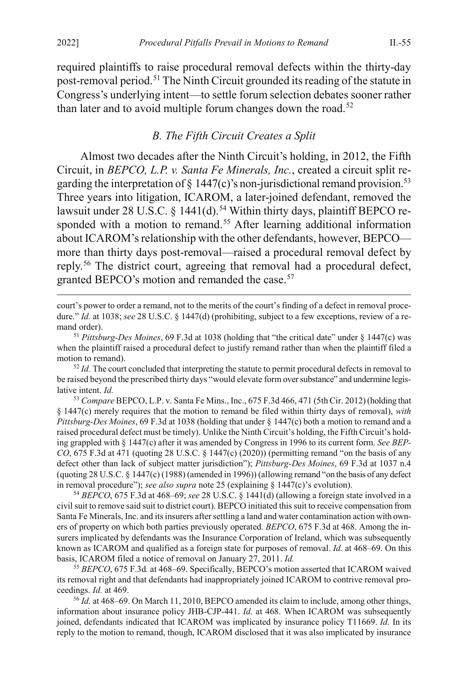required plaintiffs to raise procedural removal defects within the thirty-day post-removal period[.51](#page-10-2) The Ninth Circuit grounded its reading of the statute in Congress's underlying intent—to settle forum selection debates sooner rather than later and to avoid multiple forum changes down the road.<sup>[52](#page-10-3)</sup>

## <span id="page-10-1"></span><span id="page-10-0"></span>*B. The Fifth Circuit Creates a Split*

Almost two decades after the Ninth Circuit's holding, in 2012, the Fifth Circuit, in *BEPCO, L.P. v. Santa Fe Minerals, Inc.*, created a circuit split regarding the interpretation of § 1447(c)'s non-jurisdictional remand provision.<sup>53</sup> Three years into litigation, ICAROM, a later-joined defendant, removed the lawsuit under 28 U.S.C. § 1441(d).<sup>[54](#page-10-5)</sup> Within thirty days, plaintiff BEPCO re-sponded with a motion to remand.<sup>[55](#page-10-6)</sup> After learning additional information about ICAROM's relationship with the other defendants, however, BEPCO more than thirty days post-removal—raised a procedural removal defect by reply.[56](#page-10-7) The district court, agreeing that removal had a procedural defect, granted BEPCO's motion and remanded the case.<sup>57</sup>

 court's power to order a remand, not to the merits of the court's finding of a defect in removal procedure." *Id.* at 1038; see 28 U.S.C. § 1447(d) (prohibiting, subject to a few exceptions, review of a remand order).

<span id="page-10-3"></span><sup>52</sup> *Id.* The court concluded that interpreting the statute to permit procedural defects in removal to be raised beyond the prescribed thirty days "would elevate form over substance" and undermine legislative intent. *Id.*

<span id="page-10-4"></span><sup>53</sup> *Compare* BEPCO, L.P. v. Santa Fe Mins., Inc., 675 F.3d 466, 471 (5th Cir. 2012) (holding that § 1447(c) merely requires that the motion to remand be filed within thirty days of removal), *with Pittsburg-Des Moines*, 69 F.3d at 1038 (holding that under § 1447(c) both a motion to remand and a raised procedural defect must be timely). Unlike the Ninth Circuit's holding, the Fifth Circuit's holding grappled with § 1447(c) after it was amended by Congress in 1996 to its current form. *See BEP-CO*, 675 F.3d at 471 (quoting 28 U.S.C. § 1447(c) (2020)) (permitting remand "on the basis of any defect other than lack of subject matter jurisdiction"); *Pittsburg-Des Moines*, 69 F.3d at 1037 n.4 (quoting 28 U.S.C. § 1447(c) (1988) (amended in 1996)) (allowing remand "on the basis of any defect in removal procedure"); *see also supra* not[e 25](#page-5-0) (explaining § 1447(c)'s evolution).

<span id="page-10-5"></span><sup>54</sup> *BEPCO*, 675 F.3d at 468–69; *see* 28 U.S.C. § 1441(d) (allowing a foreign state involved in a civil suit to remove said suit to district court). BEPCO initiated this suit to receive compensation from Santa Fe Minerals, Inc. and its insurers after settling a land and water contamination action with owners of property on which both parties previously operated. *BEPCO*, 675 F.3d at 468. Among the insurers implicated by defendants was the Insurance Corporation of Ireland, which was subsequently known as ICAROM and qualified as a foreign state for purposes of removal. *Id.* at 468–69. On this basis, ICAROM filed a notice of removal on January 27, 2011. *Id.*

<span id="page-10-6"></span><sup>55</sup> *BEPCO*, 675 F.3d*.* at 468–69. Specifically, BEPCO's motion asserted that ICAROM waived its removal right and that defendants had inappropriately joined ICAROM to contrive removal proceedings. *Id.* at 469.

<span id="page-10-7"></span><sup>56</sup> *Id.* at 468–69. On March 11, 2010, BEPCO amended its claim to include, among other things, information about insurance policy JHB-CJP-441. *Id.* at 468. When ICAROM was subsequently joined, defendants indicated that ICAROM was implicated by insurance policy T11669. *Id.* In its reply to the motion to remand, though, ICAROM disclosed that it was also implicated by insurance

<span id="page-10-8"></span><span id="page-10-2"></span><sup>51</sup> *Pittsburg-Des Moines*, 69 F.3d at 1038 (holding that "the critical date" under § 1447(c) was when the plaintiff raised a procedural defect to justify remand rather than when the plaintiff filed a motion to remand).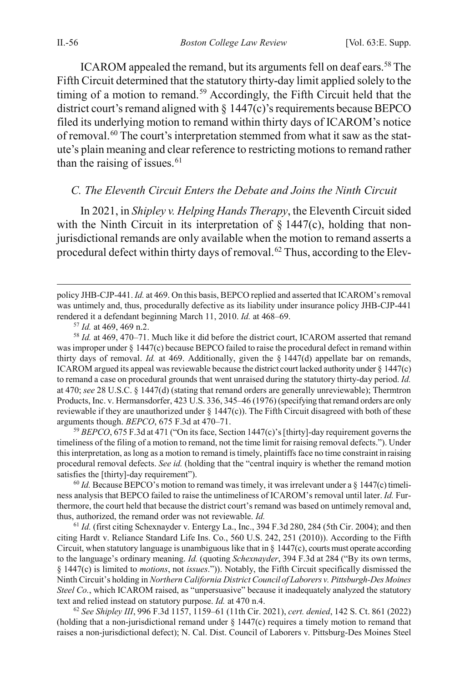ICAROM appealed the remand, but its arguments fell on deaf ears.<sup>[58](#page-11-2)</sup> The Fifth Circuit determined that the statutory thirty-day limit applied solely to the timing of a motion to remand.<sup>[59](#page-11-3)</sup> Accordingly, the Fifth Circuit held that the district court's remand aligned with § 1447(c)'s requirements because BEPCO filed its underlying motion to remand within thirty days of ICAROM's notice of removal.[60](#page-11-4) The court's interpretation stemmed from what it saw as the statute's plain meaning and clear reference to restricting motions to remand rather than the raising of issues.  $61$ 

### <span id="page-11-1"></span><span id="page-11-0"></span>*C. The Eleventh Circuit Enters the Debate and Joins the Ninth Circuit*

In 2021, in *Shipley v. Helping Hands Therapy*, the Eleventh Circuit sided with the Ninth Circuit in its interpretation of  $\S$  1447(c), holding that nonjurisdictional remands are only available when the motion to remand asserts a procedural defect within thirty days of removal.<sup>[62](#page-11-6)</sup> Thus, according to the Elev-

<span id="page-11-2"></span><sup>58</sup> *Id.* at 469, 470–71. Much like it did before the district court, ICAROM asserted that remand was improper under § 1447(c) because BEPCO failed to raise the procedural defect in remand within thirty days of removal. *Id.* at 469. Additionally, given the § 1447(d) appellate bar on remands, ICAROM argued its appeal was reviewable because the district court lacked authority under § 1447(c) to remand a case on procedural grounds that went unraised during the statutory thirty-day period. *Id.* at 470; *see* 28 U.S.C. § 1447(d) (stating that remand orders are generally unreviewable); Thermtron Products, Inc. v. Hermansdorfer, 423 U.S. 336, 345–46 (1976) (specifying that remand orders are only reviewable if they are unauthorized under  $\S 1447(c)$ ). The Fifth Circuit disagreed with both of these arguments though. *BEPCO*, 675 F.3d at 470–71.

<span id="page-11-3"></span><sup>59</sup> *BEPCO*, 675 F.3d at 471 ("On its face, Section 1447(c)'s [thirty]-day requirement governs the timeliness of the filing of a motion to remand, not the time limit for raising removal defects."). Under this interpretation, as long as a motion to remand is timely, plaintiffs face no time constraint in raising procedural removal defects. *See id.* (holding that the "central inquiry is whether the remand motion satisfies the [thirty]-day requirement").

<span id="page-11-4"></span> $60$  *Id.* Because BEPCO's motion to remand was timely, it was irrelevant under a  $\S$  1447(c) timeliness analysis that BEPCO failed to raise the untimeliness of ICAROM's removal until later. *Id.* Furthermore, the court held that because the district court's remand was based on untimely removal and, thus, authorized, the remand order was not reviewable. *Id.*

<span id="page-11-5"></span><sup>61</sup> *Id.* (first citing Schexnayder v. Entergy La., Inc., 394 F.3d 280, 284 (5th Cir. 2004); and then citing Hardt v. Reliance Standard Life Ins. Co., 560 U.S. 242, 251 (2010)). According to the Fifth Circuit, when statutory language is unambiguous like that in § 1447(c), courts must operate according to the language's ordinary meaning. *Id.* (quoting *Schexnayder*, 394 F.3d at 284 ("By its own terms, § 1447(c) is limited to *motions*, not *issues*.")). Notably, the Fifth Circuit specifically dismissed the Ninth Circuit's holding in *Northern California District Council of Laborers v. Pittsburgh-Des Moines Steel Co.*, which ICAROM raised, as "unpersuasive" because it inadequately analyzed the statutory text and relied instead on statutory purpose. *Id.* at 470 n.4.

<span id="page-11-6"></span><sup>62</sup> *See Shipley III*, 996 F.3d 1157, 1159–61 (11th Cir. 2021), *cert. denied*, 142 S. Ct. 861 (2022) (holding that a non-jurisdictional remand under § 1447(c) requires a timely motion to remand that raises a non-jurisdictional defect); N. Cal. Dist. Council of Laborers v. Pittsburg-Des Moines Steel

policy JHB-CJP-441. *Id.* at 469. On this basis, BEPCO replied and asserted that ICAROM's removal was untimely and, thus, procedurally defective as its liability under insurance policy JHB-CJP-441 rendered it a defendant beginning March 11, 2010. *Id.* at 468–69.

<sup>57</sup> *Id.* at 469, 469 n.2.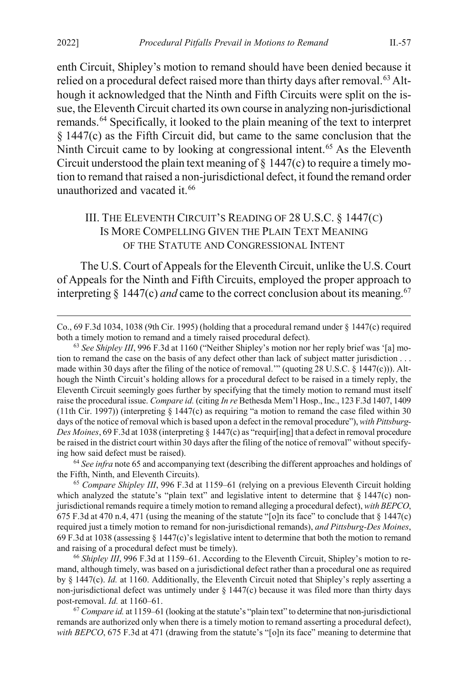enth Circuit, Shipley's motion to remand should have been denied because it relied on a procedural defect raised more than thirty days after removal.<sup>[63](#page-12-3)</sup> Although it acknowledged that the Ninth and Fifth Circuits were split on the issue, the Eleventh Circuit charted its own course in analyzing non-jurisdictional remands.[64](#page-12-4) Specifically, it looked to the plain meaning of the text to interpret § 1447(c) as the Fifth Circuit did, but came to the same conclusion that the Ninth Circuit came to by looking at congressional intent.<sup>[65](#page-12-5)</sup> As the Eleventh Circuit understood the plain text meaning of  $\S$  1447(c) to require a timely motion to remand that raised a non-jurisdictional defect, it found the remand order unauthorized and vacated it.<sup>[66](#page-12-6)</sup>

# <span id="page-12-2"></span><span id="page-12-1"></span><span id="page-12-0"></span>III. THE ELEVENTH CIRCUIT'S READING OF 28 U.S.C. § 1447(C) IS MORE COMPELLING GIVEN THE PLAIN TEXT MEANING OF THE STATUTE AND CONGRESSIONAL INTENT

The U.S. Court of Appeals for the Eleventh Circuit, unlike the U.S. Court of Appeals for the Ninth and Fifth Circuits, employed the proper approach to interpreting  $\S$  1447(c) *and* came to the correct conclusion about its meaning.<sup>67</sup>

<span id="page-12-4"></span><sup>64</sup> *See infra* not[e 65](#page-12-2) and accompanying text (describing the different approaches and holdings of the Fifth, Ninth, and Eleventh Circuits).

<span id="page-12-5"></span><sup>65</sup> *Compare Shipley III*, 996 F.3d at 1159–61 (relying on a previous Eleventh Circuit holding which analyzed the statute's "plain text" and legislative intent to determine that  $\S 1447(c)$  nonjurisdictional remands require a timely motion to remand alleging a procedural defect), *with BEPCO*, 675 F.3d at 470 n.4, 471 (using the meaning of the statute "[o]n its face" to conclude that  $\S$  1447(c) required just a timely motion to remand for non-jurisdictional remands), *and Pittsburg-Des Moines*, 69 F.3d at 1038 (assessing § 1447(c)'s legislative intent to determine that both the motion to remand and raising of a procedural defect must be timely).

<span id="page-12-6"></span><sup>66</sup> Shipley III, 996 F.3d at 1159–61. According to the Eleventh Circuit, Shipley's motion to remand, although timely, was based on a jurisdictional defect rather than a procedural one as required by § 1447(c). *Id.* at 1160. Additionally, the Eleventh Circuit noted that Shipley's reply asserting a non-jurisdictional defect was untimely under § 1447(c) because it was filed more than thirty days post-removal. *Id.* at 1160–61.

<span id="page-12-7"></span><sup>67</sup> *Compare id.* at 1159–61 (looking at the statute's "plain text" to determine that non-jurisdictional remands are authorized only when there is a timely motion to remand asserting a procedural defect), *with BEPCO*, 675 F.3d at 471 (drawing from the statute's "[o]n its face" meaning to determine that

Co., 69 F.3d 1034, 1038 (9th Cir. 1995) (holding that a procedural remand under § 1447(c) required both a timely motion to remand and a timely raised procedural defect).

<span id="page-12-3"></span><sup>&</sup>lt;sup>63</sup> See Shipley III, 996 F.3d at 1160 ("Neither Shipley's motion nor her reply brief was '[a] motion to remand the case on the basis of any defect other than lack of subject matter jurisdiction . . . made within 30 days after the filing of the notice of removal.'" (quoting 28 U.S.C. § 1447(c))). Although the Ninth Circuit's holding allows for a procedural defect to be raised in a timely reply, the Eleventh Circuit seemingly goes further by specifying that the timely motion to remand must itself raise the procedural issue. *Compare id.* (citing *In re* Bethesda Mem'l Hosp., Inc., 123 F.3d 1407, 1409 (11th Cir. 1997)) (interpreting  $\S 1447(c)$  as requiring "a motion to remand the case filed within 30 days of the notice of removal which is based upon a defect in the removal procedure"), *with Pittsburg-Des Moines*, 69 F.3d at 1038 (interpreting § 1447(c) as "requir[ing] that a defect in removal procedure be raised in the district court within 30 days after the filing of the notice of removal" without specifying how said defect must be raised).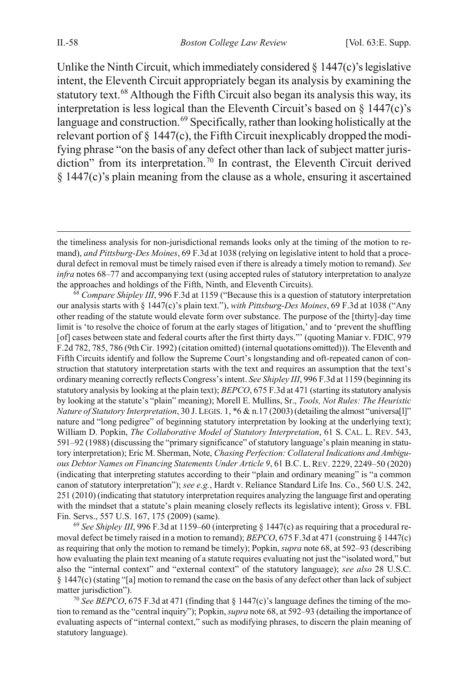<span id="page-13-0"></span>Unlike the Ninth Circuit, which immediately considered  $\S$  1447(c)'s legislative intent, the Eleventh Circuit appropriately began its analysis by examining the statutory text.<sup>[68](#page-13-1)</sup> Although the Fifth Circuit also began its analysis this way, its interpretation is less logical than the Eleventh Circuit's based on  $\S$  1447(c)'s language and construction.<sup>69</sup> Specifically, rather than looking holistically at the relevant portion of  $\S$  1447(c), the Fifth Circuit inexplicably dropped the modifying phrase "on the basis of any defect other than lack of subject matter juris-diction" from its interpretation.<sup>[70](#page-13-3)</sup> In contrast, the Eleventh Circuit derived § 1447(c)'s plain meaning from the clause as a whole, ensuring it ascertained

<span id="page-13-1"></span><sup>68</sup> Compare Shipley III, 996 F.3d at 1159 ("Because this is a question of statutory interpretation our analysis starts with § 1447(c)'s plain text."), *with Pittsburg-Des Moines*, 69 F.3d at 1038 ("Any other reading of the statute would elevate form over substance. The purpose of the [thirty]-day time limit is 'to resolve the choice of forum at the early stages of litigation,' and to 'prevent the shuffling [of] cases between state and federal courts after the first thirty days."' (quoting Maniar v. FDIC, 979 F.2d 782, 785, 786 (9th Cir. 1992) (citation omitted) (internal quotations omitted))). The Eleventh and Fifth Circuits identify and follow the Supreme Court's longstanding and oft-repeated canon of construction that statutory interpretation starts with the text and requires an assumption that the text's ordinary meaning correctly reflects Congress's intent. *See Shipley III*, 996 F.3d at 1159 (beginning its statutory analysis by looking at the plain text); *BEPCO*, 675 F.3d at 471 (starting its statutory analysis by looking at the statute's "plain" meaning); Morell E. Mullins, Sr., *Tools, Not Rules: The Heuristic Nature of Statutory Interpretation*, 30 J. LEGIS. 1, \*6 & n.17 (2003) (detailing the almost "universa[l]" nature and "long pedigree" of beginning statutory interpretation by looking at the underlying text); William D. Popkin, *The Collaborative Model of Statutory Interpretation*, 61 S. CAL. L. REV. 543, 591–92 (1988) (discussing the "primary significance" of statutory language's plain meaning in statutory interpretation); Eric M. Sherman, Note, *Chasing Perfection: Collateral Indications and Ambiguous Debtor Names on Financing Statements Under Article 9*, 61 B.C. L.REV. 2229, 2249–50 (2020) (indicating that interpreting statutes according to their "plain and ordinary meaning" is "a common canon of statutory interpretation"); *see e.g.*, Hardt v. Reliance Standard Life Ins. Co., 560 U.S. 242, 251 (2010) (indicating that statutory interpretation requires analyzing the language first and operating with the mindset that a statute's plain meaning closely reflects its legislative intent); Gross v. FBL Fin. Servs., 557 U.S. 167, 175 (2009) (same).

<span id="page-13-2"></span><sup>69</sup> *See Shipley III*, 996 F.3d at 1159–60 (interpreting § 1447(c) as requiring that a procedural removal defect be timely raised in a motion to remand); *BEPCO*, 675 F.3d at 471 (construing § 1447(c) as requiring that only the motion to remand be timely); Popkin, *supra* not[e 68,](#page-13-0) at 592–93 (describing how evaluating the plain text meaning of a statute requires evaluating not just the "isolated word," but also the "internal context" and "external context" of the statutory language); *see also* 28 U.S.C. § 1447(c) (stating "[a] motion to remand the case on the basis of any defect other than lack of subject matter jurisdiction").

<span id="page-13-3"></span><sup>70</sup> *See BEPCO*, 675 F.3d at 471 (finding that  $\S$  1447(c)'s language defines the timing of the motion to remand as the "central inquiry"); Popkin, *supra* not[e 68,](#page-13-0) at 592–93 (detailing the importance of evaluating aspects of "internal context," such as modifying phrases, to discern the plain meaning of statutory language).

the timeliness analysis for non-jurisdictional remands looks only at the timing of the motion to remand), *and Pittsburg-Des Moines*, 69 F.3d at 1038 (relying on legislative intent to hold that a procedural defect in removal must be timely raised even if there is already a timely motion to remand). *See infra* note[s 68–](#page-13-0)[77](#page-15-0) and accompanying text (using accepted rules of statutory interpretation to analyze the approaches and holdings of the Fifth, Ninth, and Eleventh Circuits).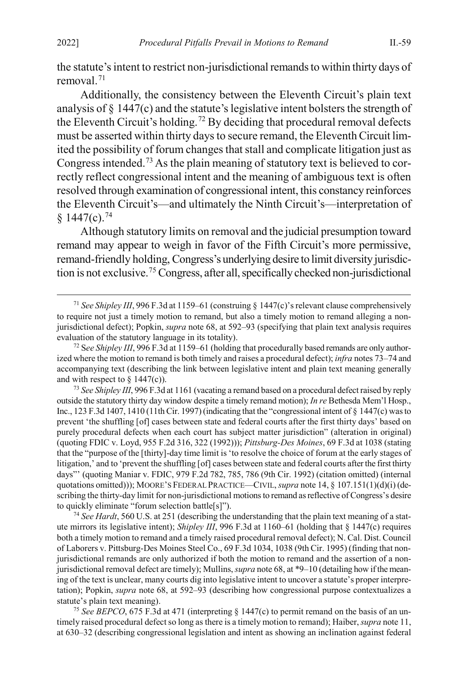the statute's intent to restrict non-jurisdictional remands to within thirty days of removal.[71](#page-14-2)

<span id="page-14-0"></span>Additionally, the consistency between the Eleventh Circuit's plain text analysis of § 1447(c) and the statute's legislative intent bolsters the strength of the Eleventh Circuit's holding.[72](#page-14-3) By deciding that procedural removal defects must be asserted within thirty days to secure remand, the Eleventh Circuit limited the possibility of forum changes that stall and complicate litigation just as Congress intended[.73](#page-14-4) As the plain meaning of statutory text is believed to correctly reflect congressional intent and the meaning of ambiguous text is often resolved through examination of congressional intent, this constancy reinforces the Eleventh Circuit's—and ultimately the Ninth Circuit's—interpretation of  $§$  1447(c).<sup>[74](#page-14-5)</sup>

<span id="page-14-1"></span>Although statutory limits on removal and the judicial presumption toward remand may appear to weigh in favor of the Fifth Circuit's more permissive, remand-friendly holding, Congress's underlying desire to limit diversity jurisdiction is not exclusive.[75](#page-14-6) Congress, after all, specifically checked non-jurisdictional

<span id="page-14-4"></span><sup>73</sup> *See Shipley III*, 996 F.3d at 1161 (vacating a remand based on a procedural defect raised by reply outside the statutory thirty day window despite a timely remand motion); *In re* Bethesda Mem'l Hosp., Inc., 123 F.3d 1407, 1410 (11th Cir. 1997) (indicating that the "congressional intent of  $\S$  1447(c) was to prevent 'the shuffling [of] cases between state and federal courts after the first thirty days' based on purely procedural defects when each court has subject matter jurisdiction" (alteration in original) (quoting FDIC v. Loyd, 955 F.2d 316, 322 (1992))); *Pittsburg-Des Moines*, 69 F.3d at 1038 (stating that the "purpose of the [thirty]-day time limit is 'to resolve the choice of forum at the early stages of litigation,' and to 'prevent the shuffling [of] cases between state and federal courts after the first thirty days"' (quoting Maniar v. FDIC, 979 F.2d 782, 785, 786 (9th Cir. 1992) (citation omitted) (internal quotations omitted))); MOORE'S FEDERAL PRACTICE—CIVIL, *supra* not[e 14,](#page-3-1) § 107.151(1)(d)(i) (describing the thirty-day limit for non-jurisdictional motions to remand as reflective of Congress's desire to quickly eliminate "forum selection battle[s]").

<span id="page-14-5"></span><sup>74</sup> *See Hardt*, 560 U.S. at 251 (describing the understanding that the plain text meaning of a statute mirrors its legislative intent); *Shipley III*, 996 F.3d at 1160–61 (holding that § 1447(c) requires both a timely motion to remand and a timely raised procedural removal defect); N. Cal. Dist. Council of Laborers v. Pittsburg-Des Moines Steel Co., 69 F.3d 1034, 1038 (9th Cir. 1995) (finding that nonjurisdictional remands are only authorized if both the motion to remand and the assertion of a nonjurisdictional removal defect are timely); Mullins, *supra* not[e 68,](#page-13-0) at \*9–10 (detailing how if the meaning of the text is unclear, many courts dig into legislative intent to uncover a statute's proper interpretation); Popkin, *supra* note [68,](#page-13-0) at 592–93 (describing how congressional purpose contextualizes a statute's plain text meaning).

<span id="page-14-6"></span><sup>75</sup> *See BEPCO*, 675 F.3d at 471 (interpreting § 1447(c) to permit remand on the basis of an untimely raised procedural defect so long as there is a timely motion to remand); Haiber, *supra* not[e 11,](#page-3-0) at 630–32 (describing congressional legislation and intent as showing an inclination against federal

<span id="page-14-2"></span> <sup>71</sup> *See Shipley III*, 996 F.3d at 1159–61 (construing § 1447(c)'s relevant clause comprehensively to require not just a timely motion to remand, but also a timely motion to remand alleging a nonjurisdictional defect); Popkin, *supra* not[e 68,](#page-13-0) at 592–93 (specifying that plain text analysis requires evaluation of the statutory language in its totality).

<span id="page-14-3"></span><sup>72</sup> S*ee Shipley III*, 996 F.3d at 1159–61 (holding that procedurally based remands are only authorized where the motion to remand is both timely and raises a procedural defect); *infra* note[s 73](#page-14-0)[–74](#page-14-1) and accompanying text (describing the link between legislative intent and plain text meaning generally and with respect to  $\S$  1447(c)).